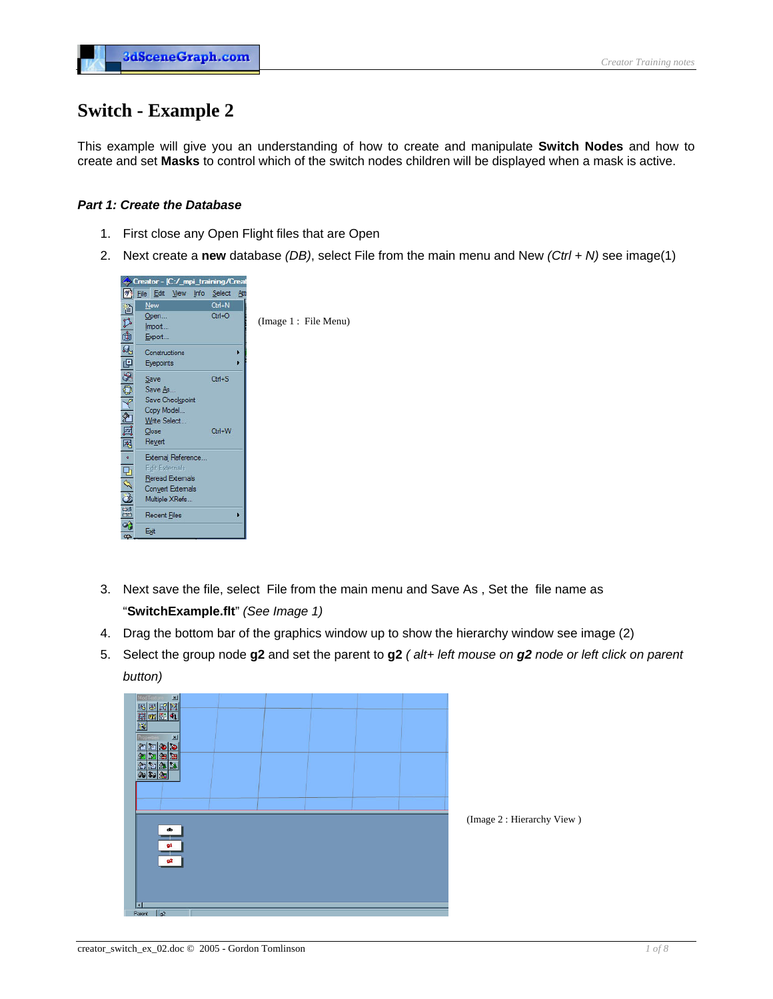# **Switch - Example 2**

This example will give you an understanding of how to create and manipulate **Switch Nodes** and how to create and set **Masks** to control which of the switch nodes children will be displayed when a mask is active.

# *Part 1: Create the Database*

- 1. First close any Open Flight files that are Open
- 2. Next create a **new** database *(DB)*, select File from the main menu and New *(Ctrl + N)* see image(1)



- 3. Next save the file, select File from the main menu and Save As , Set the file name as "**SwitchExample.flt**" *(See Image 1)*
- 4. Drag the bottom bar of the graphics window up to show the hierarchy window see image (2)
- 5. Select the group node **g2** and set the parent to **g2** *( alt+ left mouse on g2 node or left click on parent button)*

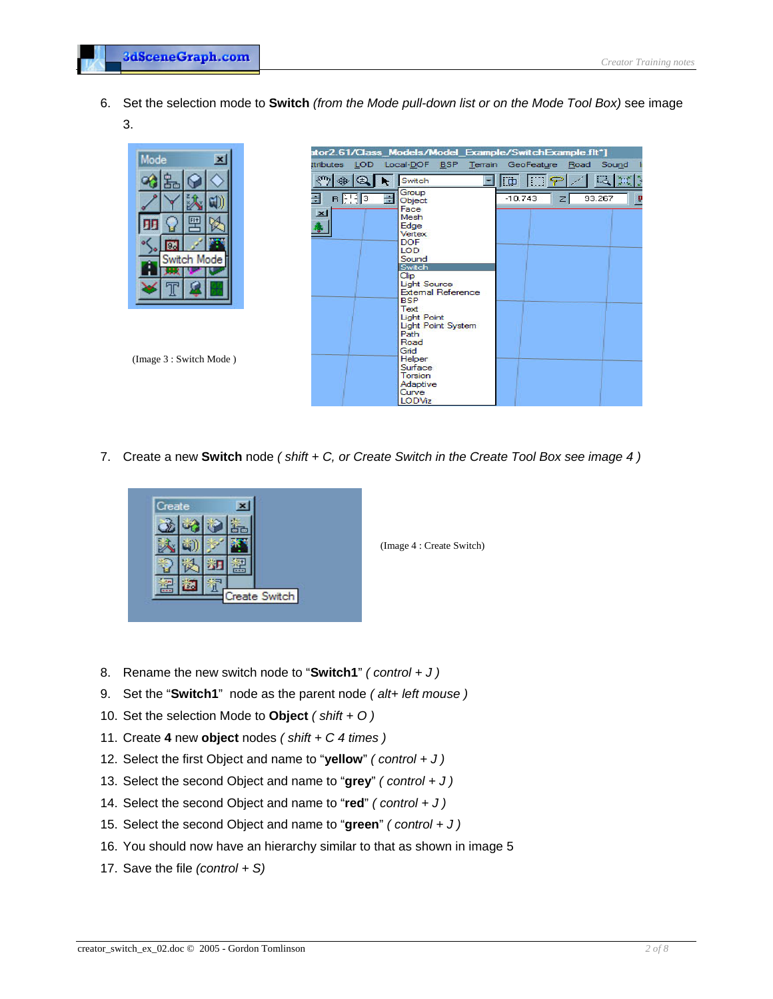6. Set the selection mode to **Switch** *(from the Mode pull-down list or on the Mode Tool Box)* see image 3.

|                         |                                |                                                  | ator2.61/Class Models/Model Example/SwitchExample.fit*] |
|-------------------------|--------------------------------|--------------------------------------------------|---------------------------------------------------------|
| Mode<br>$\vert x \vert$ | ttributes LOD                  | Local-DOF BSP Terrain GeoFeature Road            | Sound                                                   |
| Гœ                      | $S^{T1}D$<br>के<br>$\bigoplus$ | Switch                                           | 电类的<br>顺<br>line                                        |
|                         | B 灰区<br>÷                      | Group<br>름<br>Object                             | $-10.743$<br>93.267<br>$\mathbb{Z}$                     |
| 罒                       | ×                              | Face<br>Mesh<br>Edge                             |                                                         |
|                         |                                | Vertex<br><b>DOF</b>                             |                                                         |
| 9<br>Switch Mode        |                                | LOD.<br>Sound                                    |                                                         |
|                         |                                | Switch<br>Clip                                   |                                                         |
|                         |                                | <b>Light Source</b><br><b>External Reference</b> |                                                         |
|                         |                                | <b>BSP</b><br>Text                               |                                                         |
|                         |                                | Light Point<br>Light Point System                |                                                         |
|                         |                                | Path<br>Road                                     |                                                         |
| (Image 3 : Switch Mode) |                                | Grid<br>Helper                                   |                                                         |
|                         |                                | Surface                                          |                                                         |
|                         |                                | Torsion<br>Adaptive                              |                                                         |
|                         |                                | Curve<br>LODViz                                  |                                                         |

7. Create a new **Switch** node *( shift + C, or Create Switch in the Create Tool Box see image 4 )*



(Image 4 : Create Switch)

- 8. Rename the new switch node to "**Switch1**" *( control + J )*
- 9. Set the "**Switch1**" node as the parent node *( alt+ left mouse )*
- 10. Set the selection Mode to **Object** *( shift + O )*
- 11. Create **4** new **object** nodes *( shift + C 4 times )*
- 12. Select the first Object and name to "**yellow**" *( control + J )*
- 13. Select the second Object and name to "**grey**" *( control + J )*
- 14. Select the second Object and name to "**red**" *( control + J )*
- 15. Select the second Object and name to "**green**" *( control + J )*
- 16. You should now have an hierarchy similar to that as shown in image 5
- 17. Save the file *(control + S)*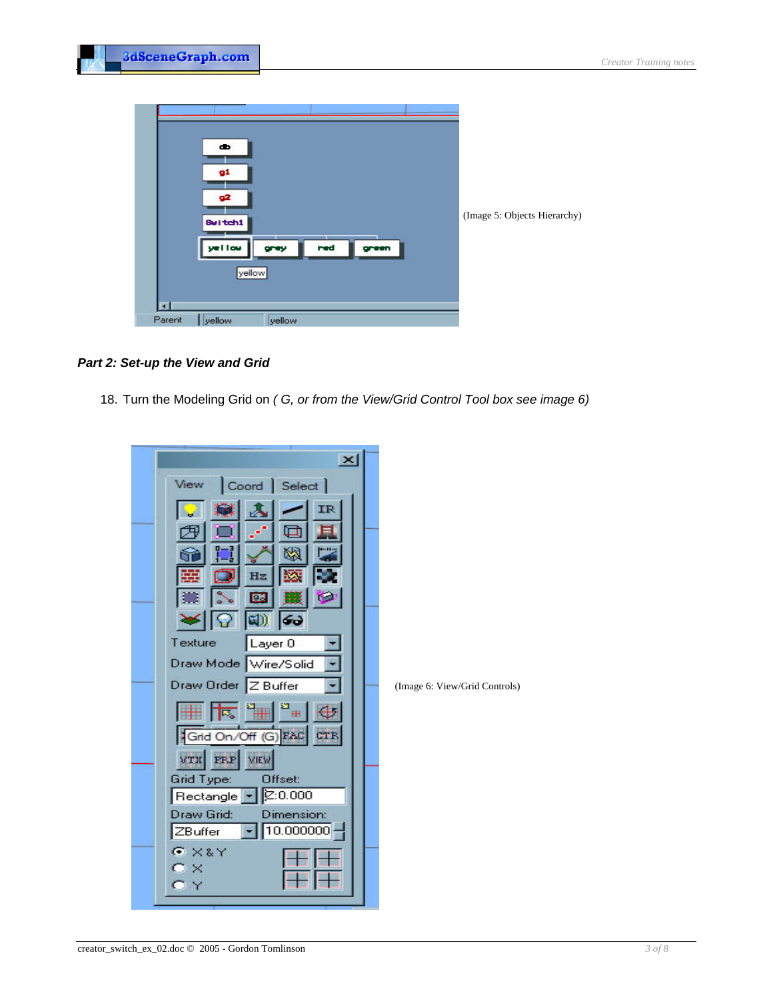

### **Part 2: Set-up the View and Grid**

18. Turn the Modeling Grid on *(G, or from the View/Grid Control Tool box see image 6)* 

| $\overline{\mathbf{x}}$                          |                               |
|--------------------------------------------------|-------------------------------|
| Coord   Select  <br>View                         |                               |
|                                                  |                               |
|                                                  |                               |
| ū.                                               |                               |
| Hz                                               |                               |
| 60                                               |                               |
| Texture<br>Layer <sub>0</sub>                    |                               |
| Draw Mode Wire/Solid                             |                               |
| Draw Order Z Buffer                              | (Image 6: View/Grid Controls) |
| $\frac{1}{2}$<br>$\overline{\mathbb{E}_\bullet}$ |                               |
| Grid On/Off (G) FAC                              |                               |
| <b>VIEW</b><br><b>VTX</b><br><b>FRP</b>          |                               |
| <b>Grid Type:</b><br>Offset:                     |                               |
| 2:0.000<br>Rectangle<br><b>Draw Grid:</b>        |                               |
| Dimension:<br>$10.000000 \cdot$<br>ZBuffer       |                               |
| $G \times 8Y$                                    |                               |
| $\bullet$ $\times$<br>Y                          |                               |
|                                                  |                               |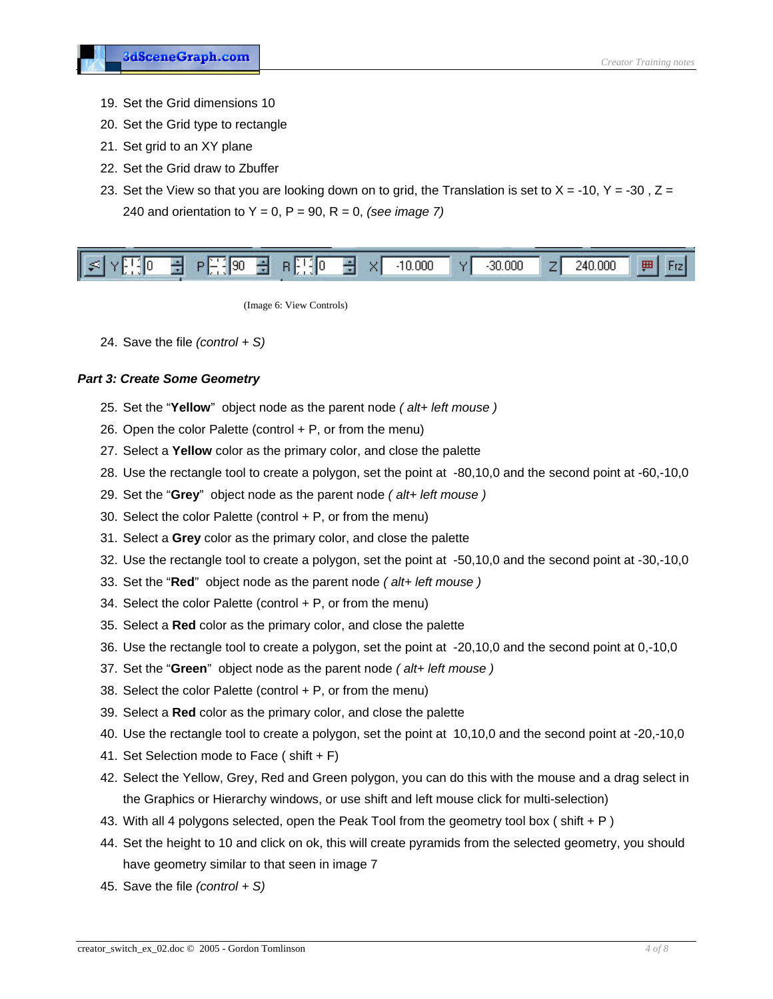- 19. Set the Grid dimensions 10
- 20. Set the Grid type to rectangle
- 21. Set grid to an XY plane
- 22. Set the Grid draw to Zbuffer
- 23. Set the View so that you are looking down on to grid, the Translation is set to  $X = -10$ ,  $Y = -30$ ,  $Z =$ 240 and orientation to Y = 0, P = 90, R = 0, *(see image 7)*

| $ \mathfrak{L} \cdot$<br>10.000<br>lln.<br><b>V</b><br>allon a | -30.000<br>240.000. |
|----------------------------------------------------------------|---------------------|
|----------------------------------------------------------------|---------------------|

(Image 6: View Controls)

24. Save the file *(control + S)*

#### **Part 3: Create Some Geometry**

- 25. Set the "Yellow" object node as the parent node (alt+ left mouse)
- 26. Open the color Palette (control  $+ P$ , or from the menu)
- 27. Select a Yellow color as the primary color, and close the palette
- 28. Use the rectangle tool to create a polygon, set the point at -80,10,0 and the second point at -60,-10,0
- 29. Set the "**Grey**" object node as the parent node *( alt+ left mouse )*
- 30. Select the color Palette (control  $+$  P, or from the menu)
- 31. Select a Grey color as the primary color, and close the palette
- 32. Use the rectangle tool to create a polygon, set the point at -50,10,0 and the second point at -30,-10,0
- 33. Set the "**Red**" object node as the parent node *( alt+ left mouse )*
- 34. Select the color Palette (control  $+$  P, or from the menu)
- 35. Select a Red color as the primary color, and close the palette
- 36. Use the rectangle tool to create a polygon, set the point at -20,10,0 and the second point at 0,-10,0
- 37. Set the "**Green**" object node as the parent node *( alt+ left mouse )*
- 38. Select the color Palette (control  $+$  P, or from the menu)
- 39. Select a Red color as the primary color, and close the palette
- 40. Use the rectangle tool to create a polygon, set the point at 10,10,0 and the second point at -20,-10,0
- 41. Set Selection mode to Face ( shift + F)
- 42. Select the Yellow, Grey, Red and Green polygon, you can do this with the mouse and a drag select in the Graphics or Hierarchy windows, or use shift and left mouse click for multi-selection)
- 43. With all 4 polygons selected, open the Peak Tool from the geometry tool box ( shift + P )
- 44. Set the height to 10 and click on ok, this will create pyramids from the selected geometry, you should have geometry similar to that seen in image 7
- 45. Save the file *(control + S)*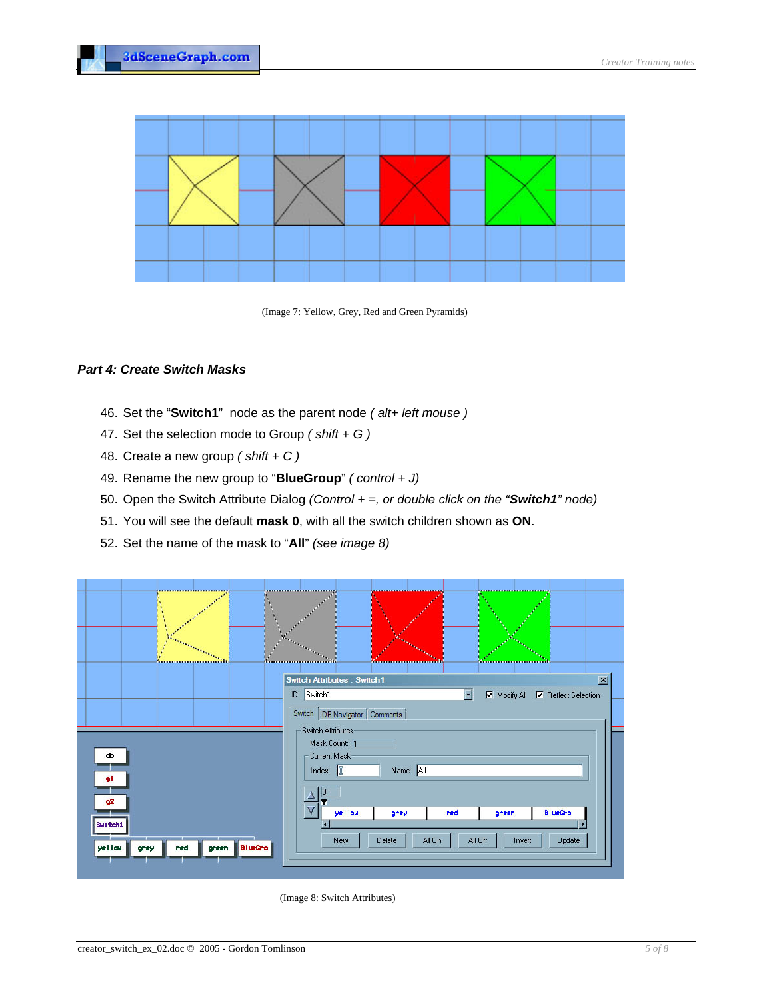

(Image 7: Yellow, Grey, Red and Green Pyramids)

## *Part 4: Create Switch Masks*

- 46. Set the "**Switch1**" node as the parent node *( alt+ left mouse )*
- 47. Set the selection mode to Group *( shift + G )*
- 48. Create a new group *( shift + C )*
- 49. Rename the new group to "**BlueGroup**" (control + J)
- 50. Open the Switch Attribute Dialog *(Control + =, or double click on the "Switch1" node)*
- 51. You will see the default **mask 0**, with all the switch children shown as **ON**.
- 52. Set the name of the mask to "**All**" *(see image 8)*



(Image 8: Switch Attributes)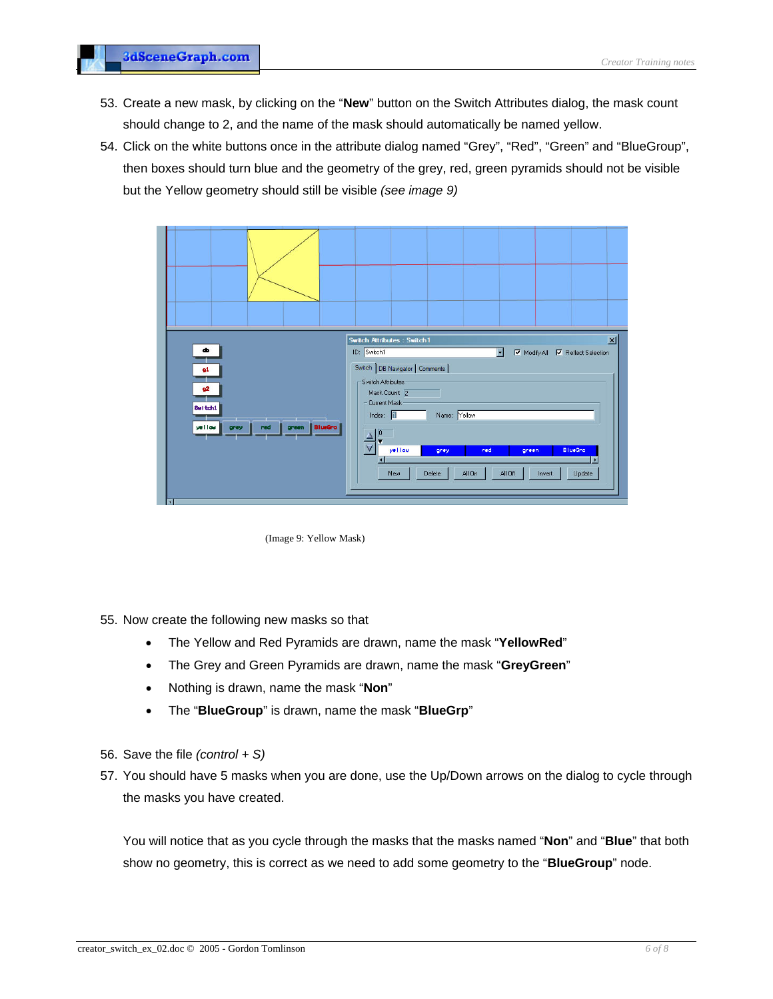- 53. Create a new mask, by clicking on the "**New**" button on the Switch Attributes dialog, the mask count should change to 2, and the name of the mask should automatically be named yellow.
- 54. Click on the white buttons once in the attribute dialog named "Grey", "Red", "Green" and "BlueGroup", then boxes should turn blue and the geometry of the grey, red, green pyramids should not be visible but the Yellow geometry should still be visible *(see image 9)*



(Image 9: Yellow Mask)

- 55. Now create the following new masks so that
	- The Yellow and Red Pyramids are drawn, name the mask "YellowRed"
	- The Grey and Green Pyramids are drawn, name the mask "**GreyGreen**"
	- Nothing is drawn, name the mask "**Non**"
	- **•** The "**BlueGroup**" is drawn, name the mask "**BlueGrp**"
- 56. Save the file *(control + S)*
- 57. You should have 5 masks when you are done, use the Up/Down arrows on the dialog to cycle through the masks you have created.

You will notice that as you cycle through the masks that the masks named "**Non**" and "**Blue**" that both show no geometry, this is correct as we need to add some geometry to the "**BlueGroup**" node.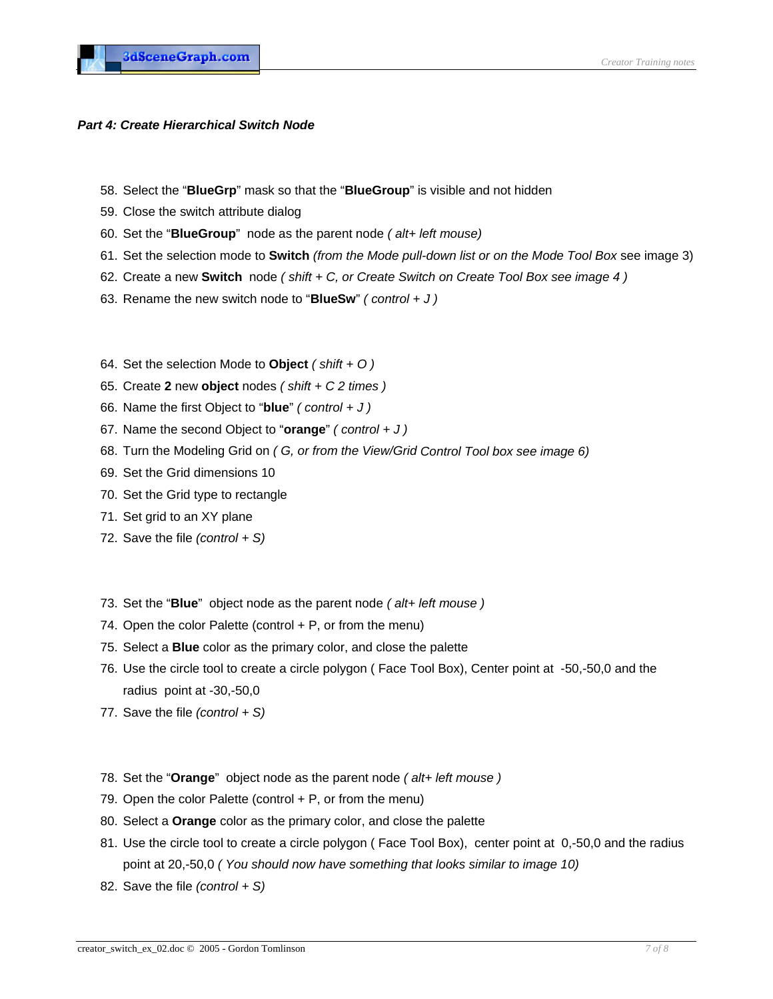## **Part 4: Create Hierarchical Switch Node**

- 58. Select the "**BlueGrp**" mask so that the "**BlueGroup**" is visible and not hidden
- 59. Close the switch attribute dialog
- 60. Set the "**BlueGroup**" node as the parent node (alt+ left mouse)
- 61. Set the selection mode to **Switch** *(from the Mode pull-down list or on the Mode Tool Box* see image 3)
- 62. Create a new **Switch** node *( shift + C, or Create Switch on Create Tool Box see image 4 )*
- 63. Rename the new switch node to "**BlueSw**" *( control + J )*
- 64. Set the selection Mode to **Object** *( shift + O )*
- 65. Create **2** new **object** nodes *( shift + C 2 times )*
- 66. Name the first Object to "**blue**" *( control + J )*
- *l + J )* 67. Name the second Object to "**orange**" *( contro*
- 68. Turn the Modeling Grid on *( G, or from the View/Grid Control Tool box see image 6)*
- 69. Set the Grid dimensions 10
- 70. Set the Grid type to rectangle
- 71. Set grid to an XY plane
- *)* 72. Save the file *(control + S*
- 73. Set the "**Blue**" object node as the parent node *( alt+ left mouse )*
- 74. Open the color Palette (control  $+ P$ , or from the menu)
- 75. Select a **Blue** color as the primary color, and close the palette
- 76. Use the circle tool to create a circle polygon (Face Tool Box), Center point at -50,-50,0 and the radius point at -30,-50,0
- 77. Save the file *(control + S)*
- 78. Set the "**Orange**" object node as the parent node *( alt+ left mouse )*
- 79. Open the color Palette (control + P, or from the menu)
- 80. Select a **Orange** color as the primary color, and close the palette
- 81. Use the circle tool to create a circle polygon (Face Tool Box), center point at 0,-50,0 and the radius point at 20,-50,0 *( You should now have something that looks similar to image 10)*
- 82. Save the file *(control + S)*